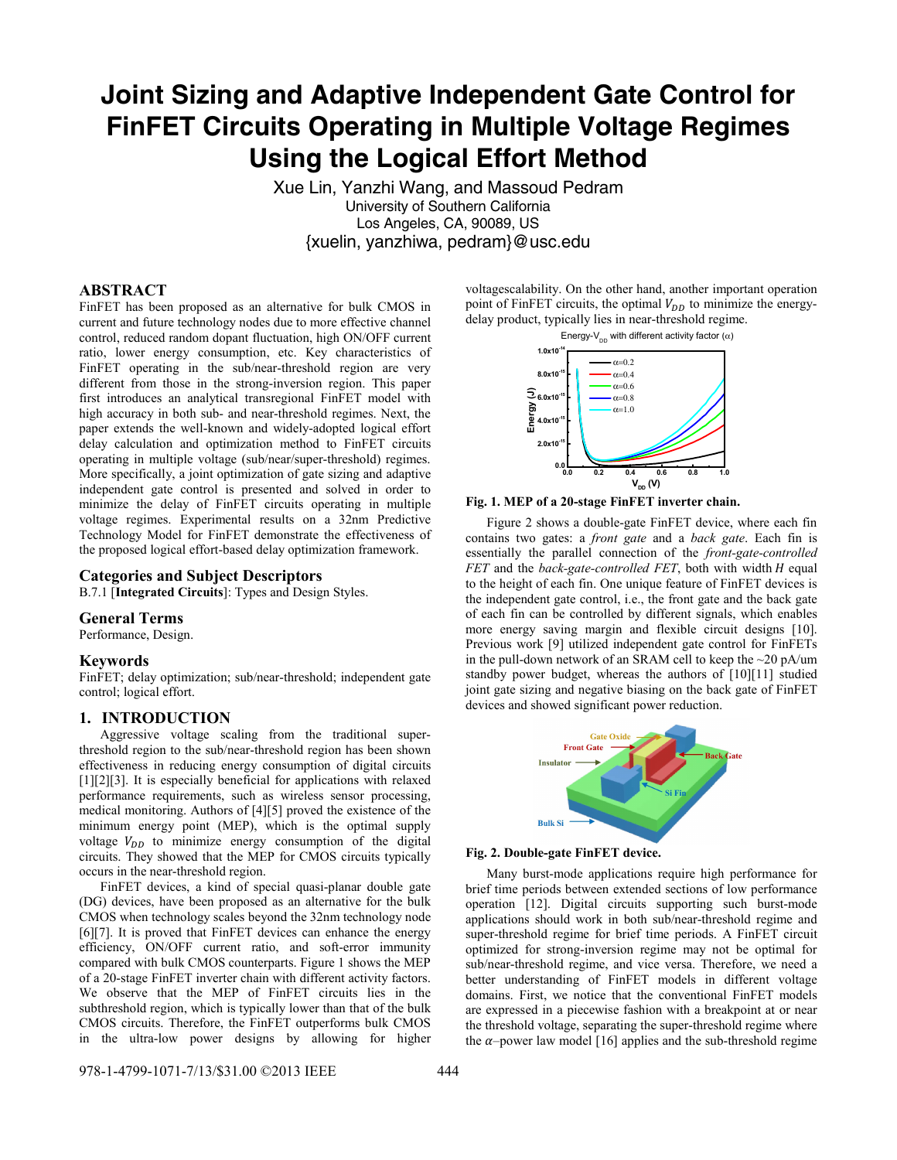# **Joint Sizing and Adaptive Independent Gate Control for FinFET Circuits Operating in Multiple Voltage Regimes Using the Logical Effort Method**

Xue Lin, Yanzhi Wang, and Massoud Pedram University of Southern California Los Angeles, CA, 90089, US {xuelin, yanzhiwa, pedram}@usc.edu

## **ABSTRACT**

FinFET has been proposed as an alternative for bulk CMOS in current and future technology nodes due to more effective channel control, reduced random dopant fluctuation, high ON/OFF current ratio, lower energy consumption, etc. Key characteristics of FinFET operating in the sub/near-threshold region are very different from those in the strong-inversion region. This paper first introduces an analytical transregional FinFET model with high accuracy in both sub- and near-threshold regimes. Next, the paper extends the well-known and widely-adopted logical effort delay calculation and optimization method to FinFET circuits operating in multiple voltage (sub/near/super-threshold) regimes. More specifically, a joint optimization of gate sizing and adaptive independent gate control is presented and solved in order to minimize the delay of FinFET circuits operating in multiple voltage regimes. Experimental results on a 32nm Predictive Technology Model for FinFET demonstrate the effectiveness of the proposed logical effort-based delay optimization framework.

#### **Categories and Subject Descriptors**

B.7.1 [**Integrated Circuits**]: Types and Design Styles.

#### **General Terms**

Performance, Design.

#### **Keywords**

FinFET; delay optimization; sub/near-threshold; independent gate control; logical effort.

#### **1. INTRODUCTION**

Aggressive voltage scaling from the traditional superthreshold region to the sub/near-threshold region has been shown effectiveness in reducing energy consumption of digital circuits [1][2][3]. It is especially beneficial for applications with relaxed performance requirements, such as wireless sensor processing, medical monitoring. Authors of [4][5] proved the existence of the minimum energy point (MEP), which is the optimal supply voltage  $V_{DD}$  to minimize energy consumption of the digital circuits. They showed that the MEP for CMOS circuits typically occurs in the near-threshold region.

FinFET devices, a kind of special quasi-planar double gate (DG) devices, have been proposed as an alternative for the bulk CMOS when technology scales beyond the 32nm technology node [6][7]. It is proved that FinFET devices can enhance the energy efficiency, ON/OFF current ratio, and soft-error immunity compared with bulk CMOS counterparts. Figure 1 shows the MEP of a 20-stage FinFET inverter chain with different activity factors. We observe that the MEP of FinFET circuits lies in the subthreshold region, which is typically lower than that of the bulk CMOS circuits. Therefore, the FinFET outperforms bulk CMOS in the ultra-low power designs by allowing for higher

voltagescalability. On the other hand, another important operation point of FinFET circuits, the optimal  $V_{DD}$  to minimize the energydelay product, typically lies in near-threshold regime.





Figure 2 shows a double-gate FinFET device, where each fin contains two gates: a *front gate* and a *back gate*. Each fin is essentially the parallel connection of the *front-gate-controlled FET* and the *back-gate-controlled FET*, both with width *H* equal to the height of each fin. One unique feature of FinFET devices is the independent gate control, i.e., the front gate and the back gate of each fin can be controlled by different signals, which enables more energy saving margin and flexible circuit designs [10]. Previous work [9] utilized independent gate control for FinFETs in the pull-down network of an SRAM cell to keep the ~20 pA/um standby power budget, whereas the authors of [10][11] studied joint gate sizing and negative biasing on the back gate of FinFET devices and showed significant power reduction.



**Fig. 2. Double-gate FinFET device.** 

Many burst-mode applications require high performance for brief time periods between extended sections of low performance operation [12]. Digital circuits supporting such burst-mode applications should work in both sub/near-threshold regime and super-threshold regime for brief time periods. A FinFET circuit optimized for strong-inversion regime may not be optimal for sub/near-threshold regime, and vice versa. Therefore, we need a better understanding of FinFET models in different voltage domains. First, we notice that the conventional FinFET models are expressed in a piecewise fashion with a breakpoint at or near the threshold voltage, separating the super-threshold regime where the  $\alpha$ –power law model [16] applies and the sub-threshold regime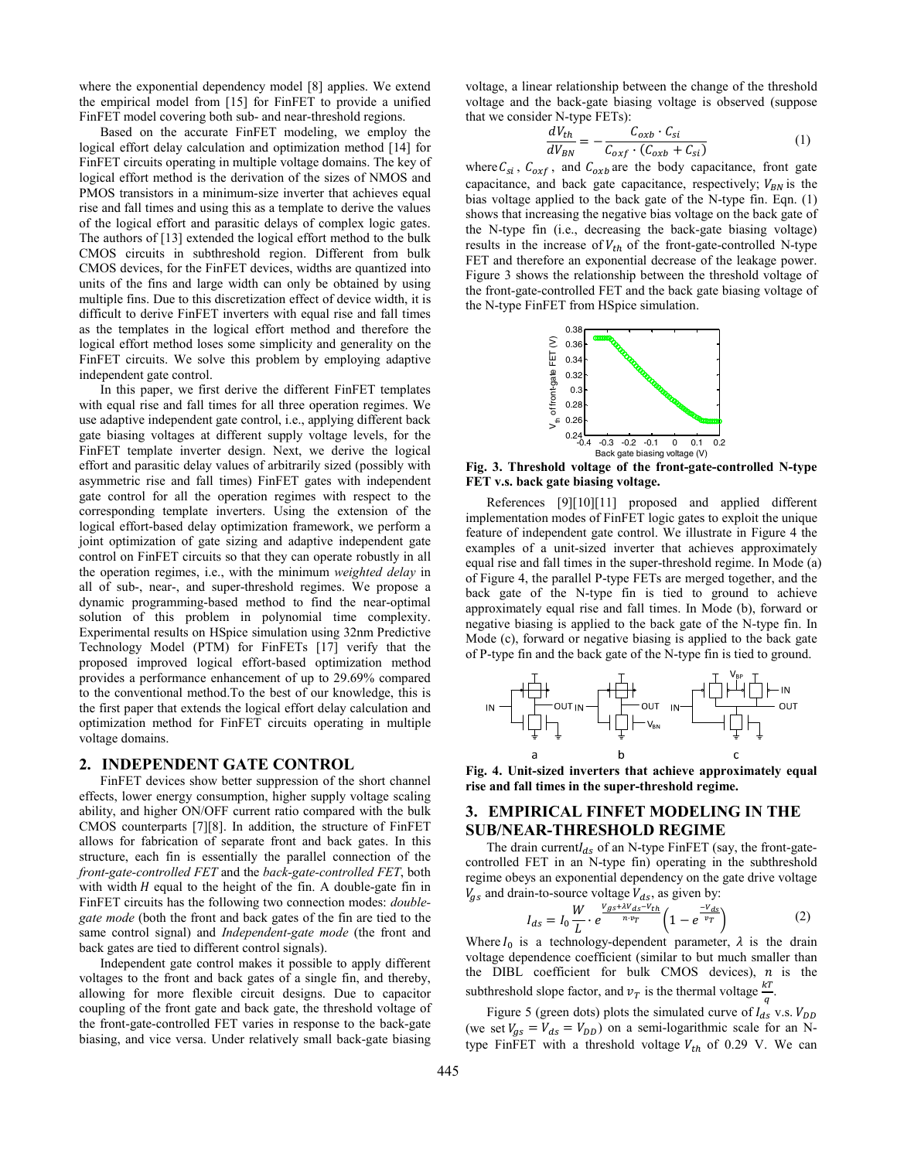where the exponential dependency model [8] applies. We extend the empirical model from [15] for FinFET to provide a unified FinFET model covering both sub- and near-threshold regions.

Based on the accurate FinFET modeling, we employ the logical effort delay calculation and optimization method [14] for FinFET circuits operating in multiple voltage domains. The key of logical effort method is the derivation of the sizes of NMOS and PMOS transistors in a minimum-size inverter that achieves equal rise and fall times and using this as a template to derive the values of the logical effort and parasitic delays of complex logic gates. The authors of [13] extended the logical effort method to the bulk CMOS circuits in subthreshold region. Different from bulk CMOS devices, for the FinFET devices, widths are quantized into units of the fins and large width can only be obtained by using multiple fins. Due to this discretization effect of device width, it is difficult to derive FinFET inverters with equal rise and fall times as the templates in the logical effort method and therefore the logical effort method loses some simplicity and generality on the FinFET circuits. We solve this problem by employing adaptive independent gate control.

In this paper, we first derive the different FinFET templates with equal rise and fall times for all three operation regimes. We use adaptive independent gate control, i.e., applying different back gate biasing voltages at different supply voltage levels, for the FinFET template inverter design. Next, we derive the logical effort and parasitic delay values of arbitrarily sized (possibly with asymmetric rise and fall times) FinFET gates with independent gate control for all the operation regimes with respect to the corresponding template inverters. Using the extension of the logical effort-based delay optimization framework, we perform a joint optimization of gate sizing and adaptive independent gate control on FinFET circuits so that they can operate robustly in all the operation regimes, i.e., with the minimum *weighted delay* in all of sub-, near-, and super-threshold regimes. We propose a dynamic programming-based method to find the near-optimal solution of this problem in polynomial time complexity. Experimental results on HSpice simulation using 32nm Predictive Technology Model (PTM) for FinFETs [17] verify that the proposed improved logical effort-based optimization method provides a performance enhancement of up to 29.69% compared to the conventional method.To the best of our knowledge, this is the first paper that extends the logical effort delay calculation and optimization method for FinFET circuits operating in multiple voltage domains.

#### **2. INDEPENDENT GATE CONTROL**

FinFET devices show better suppression of the short channel effects, lower energy consumption, higher supply voltage scaling ability, and higher ON/OFF current ratio compared with the bulk CMOS counterparts [7][8]. In addition, the structure of FinFET allows for fabrication of separate front and back gates. In this structure, each fin is essentially the parallel connection of the *front-gate-controlled FET* and the *back-gate-controlled FET*, both with width  $H$  equal to the height of the fin. A double-gate fin in FinFET circuits has the following two connection modes: *doublegate mode* (both the front and back gates of the fin are tied to the same control signal) and *Independent-gate mode* (the front and back gates are tied to different control signals).

Independent gate control makes it possible to apply different voltages to the front and back gates of a single fin, and thereby, allowing for more flexible circuit designs. Due to capacitor coupling of the front gate and back gate, the threshold voltage of the front-gate-controlled FET varies in response to the back-gate biasing, and vice versa. Under relatively small back-gate biasing

voltage, a linear relationship between the change of the threshold voltage and the back-gate biasing voltage is observed (suppose that we consider N-type FETs):

$$
\frac{dV_{th}}{dV_{BN}} = -\frac{C_{oxb} \cdot C_{si}}{C_{oxf} \cdot (C_{oxb} + C_{si})}
$$
(1)

where  $C_{si}$ ,  $C_{oxf}$ , and  $C_{oxb}$  are the body capacitance, front gate capacitance, and back gate capacitance, respectively;  $V_{BN}$  is the bias voltage applied to the back gate of the N-type fin. Eqn. (1) shows that increasing the negative bias voltage on the back gate of the N-type fin (i.e., decreasing the back-gate biasing voltage) results in the increase of  $V_{th}$  of the front-gate-controlled N-type FET and therefore an exponential decrease of the leakage power. Figure 3 shows the relationship between the threshold voltage of the front-gate-controlled FET and the back gate biasing voltage of the N-type FinFET from HSpice simulation.



**Fig. 3. Threshold voltage of the front-gate-controlled N-type FET v.s. back gate biasing voltage.** 

References [9][10][11] proposed and applied different implementation modes of FinFET logic gates to exploit the unique feature of independent gate control. We illustrate in Figure 4 the examples of a unit-sized inverter that achieves approximately equal rise and fall times in the super-threshold regime. In Mode (a) of Figure 4, the parallel P-type FETs are merged together, and the back gate of the N-type fin is tied to ground to achieve approximately equal rise and fall times. In Mode (b), forward or negative biasing is applied to the back gate of the N-type fin. In Mode (c), forward or negative biasing is applied to the back gate of P-type fin and the back gate of the N-type fin is tied to ground.



**Fig. 4. Unit-sized inverters that achieve approximately equal rise and fall times in the super-threshold regime.** 

## **3. EMPIRICAL FINFET MODELING IN THE SUB/NEAR-THRESHOLD REGIME**

The drain current $I_{ds}$  of an N-type FinFET (say, the front-gatecontrolled FET in an N-type fin) operating in the subthreshold regime obeys an exponential dependency on the gate drive voltage  $V_{gs}$  and drain-to-source voltage  $V_{ds}$ , as given by:

$$
I_{ds} = I_0 \frac{W}{L} \cdot e^{\frac{V_{gs} + \lambda V_{ds} - V_{th}}{n \cdot v_T}} \left(1 - e^{\frac{-V_{ds}}{v_T}}\right)
$$
 (2)

Where  $I_0$  is a technology-dependent parameter,  $\lambda$  is the drain voltage dependence coefficient (similar to but much smaller than the  $DIBL$  coefficient for bulk CMOS devices),  $n$  is the subthreshold slope factor, and  $v_T$  is the thermal voltage  $\frac{kT}{q}$ .

Figure 5 (green dots) plots the simulated curve of  $I_{ds}^{q}$  v.s.  $V_{DD}$ (we set  $V_{gs} = V_{ds} = V_{DD}$ ) on a semi-logarithmic scale for an Ntype FinFET with a threshold voltage  $V_{th}$  of 0.29 V. We can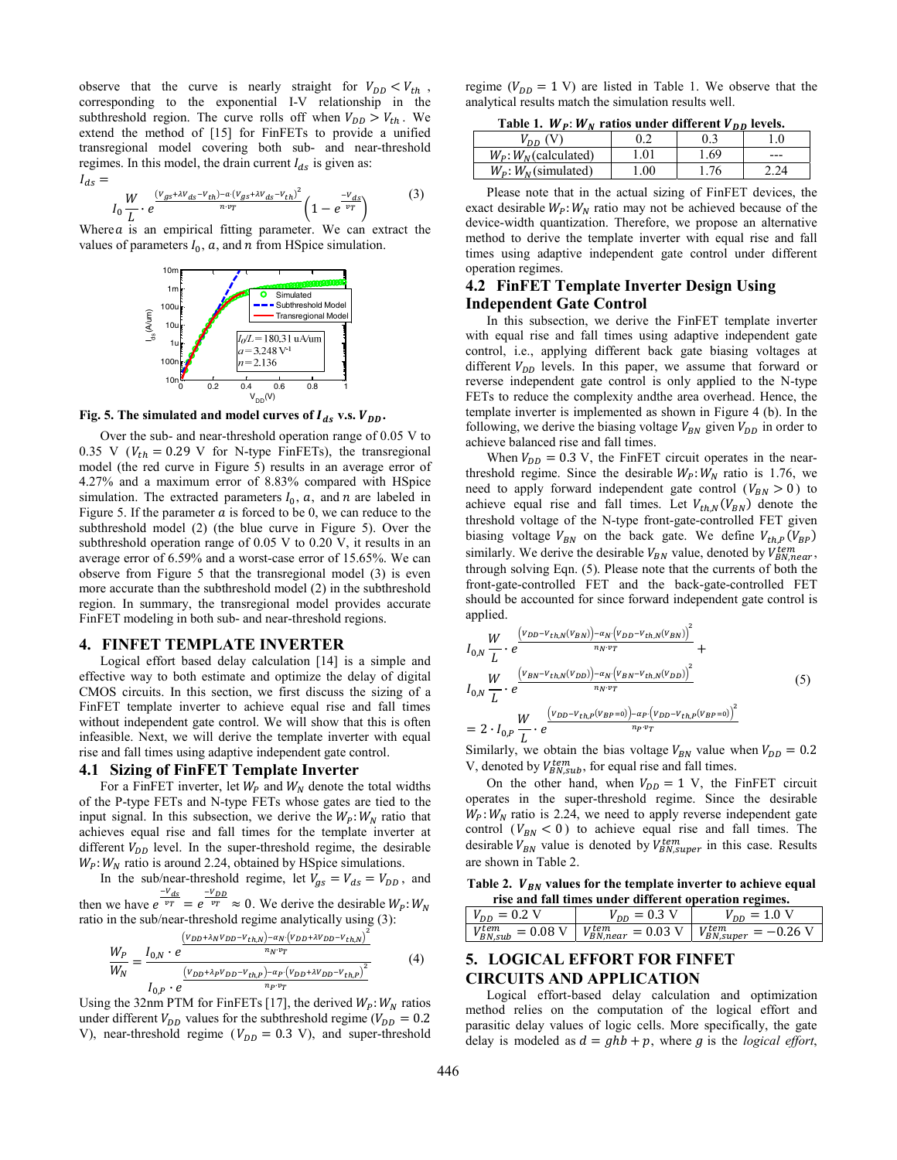observe that the curve is nearly straight for  $V_{DD} < V_{th}$ , corresponding to the exponential I-V relationship in the subthreshold region. The curve rolls off when  $V_{DD} > V_{th}$ . We extend the method of [15] for FinFETs to provide a unified transregional model covering both sub- and near-threshold regimes. In this model, the drain current  $I_{ds}$  is given as:  $I_{ds} =$ 

$$
I_0 \frac{W}{L} \cdot e^{\frac{(V_{gs} + \lambda V_{ds} - V_{th}) - a \cdot (V_{gs} + \lambda V_{ds} - V_{th})^2}{n \cdot v_T}} \left(1 - e^{\frac{-V_{ds}}{v_T}}\right) \tag{3}
$$

Where  $a$  is an empirical fitting parameter. We can extract the values of parameters  $I_0$ ,  $\alpha$ , and  $n$  from HSpice simulation.



**Fig. 5. The simulated and model curves of**  $I_{ds}$  **v.s.**  $V_{DD}$ **.** 

Over the sub- and near-threshold operation range of 0.05 V to 0.35 V ( $V_{th} = 0.29$  V for N-type FinFETs), the transregional model (the red curve in Figure 5) results in an average error of 4.27% and a maximum error of 8.83% compared with HSpice simulation. The extracted parameters  $I_0$ ,  $\alpha$ , and  $n$  are labeled in Figure 5. If the parameter  $a$  is forced to be 0, we can reduce to the subthreshold model (2) (the blue curve in Figure 5). Over the subthreshold operation range of 0.05 V to 0.20 V, it results in an average error of 6.59% and a worst-case error of 15.65%. We can observe from Figure 5 that the transregional model (3) is even more accurate than the subthreshold model (2) in the subthreshold region. In summary, the transregional model provides accurate FinFET modeling in both sub- and near-threshold regions.

#### **4. FINFET TEMPLATE INVERTER**

Logical effort based delay calculation [14] is a simple and effective way to both estimate and optimize the delay of digital CMOS circuits. In this section, we first discuss the sizing of a FinFET template inverter to achieve equal rise and fall times without independent gate control. We will show that this is often infeasible. Next, we will derive the template inverter with equal rise and fall times using adaptive independent gate control.

#### **4.1 Sizing of FinFET Template Inverter**

For a FinFET inverter, let  $W_p$  and  $W_N$  denote the total widths of the P-type FETs and N-type FETs whose gates are tied to the input signal. In this subsection, we derive the  $W_P$ :  $W_N$  ratio that achieves equal rise and fall times for the template inverter at different  $V_{DD}$  level. In the super-threshold regime, the desirable  $W_P$ :  $W_N$  ratio is around 2.24, obtained by HSpice simulations.

In the sub/near-threshold regime, let  $V_{gs} = V_{ds} = V_{DD}$ , and then we have  $e^{\frac{-V_{ds}}{v_T}} = e^{\frac{-V_{DD}}{v_T}} \approx 0$ . We derive the desirable  $W_P$ :  $W_N$ ratio in the sub/near-threshold regime analytically using (3):

 $(v_{DD} + \lambda_N v_{DD} - v_{th,N}) - \alpha_N \cdot (v_{DD} + \lambda v_{DD} - v_{th,N})^2$ 

$$
\frac{W_P}{W_N} = \frac{I_{0,N} \cdot e^{\frac{(V_{DD} + N_{0} - D) \cdot (R_{i,N}) - N_{N} \cdot (L_{DD} + N_{DD}) \cdot (R_{i,N})}{n_N \cdot v_T}}}{I_{0,P} \cdot e^{\frac{(V_{DD} + \lambda_P V_{DD} - V_{th,P}) - \alpha_P (V_{DD} + \lambda V_{DD} - V_{th,P})^2}{n_P \cdot v_T}}}
$$
(4)

Using the 32nm PTM for FinFETs [17], the derived  $W_P$ :  $W_N$  ratios under different  $V_{DD}$  values for the subthreshold regime ( $V_{DD} = 0.2$ ) V), near-threshold regime ( $V_{DD} = 0.3$  V), and super-threshold regime ( $V_{DD} = 1$  V) are listed in Table 1. We observe that the analytical results match the simulation results well.

Table 1.  $W_{p}: W_{N}$  ratios under different  $V_{DD}$  levels.

|                            |     | $1.000$ and $1.001$ and $1.001$ and $1.000$ |     |
|----------------------------|-----|---------------------------------------------|-----|
| $V_{DD}$ (V)               |     |                                             |     |
| $W_p$ : $W_p$ (calculated) | .01 | 1.69                                        | --- |
| $W_P$ : $W_N$ (simulated)  | .00 | .76                                         | 24  |

Please note that in the actual sizing of FinFET devices, the exact desirable  $W_P: W_N$  ratio may not be achieved because of the device-width quantization. Therefore, we propose an alternative method to derive the template inverter with equal rise and fall times using adaptive independent gate control under different operation regimes.

#### **4.2 FinFET Template Inverter Design Using Independent Gate Control**

In this subsection, we derive the FinFET template inverter with equal rise and fall times using adaptive independent gate control, i.e., applying different back gate biasing voltages at different  $V_{DD}$  levels. In this paper, we assume that forward or reverse independent gate control is only applied to the N-type FETs to reduce the complexity andthe area overhead. Hence, the template inverter is implemented as shown in Figure 4 (b). In the following, we derive the biasing voltage  $V_{BN}$  given  $V_{DD}$  in order to achieve balanced rise and fall times.

When  $V_{DD} = 0.3$  V, the FinFET circuit operates in the nearthreshold regime. Since the desirable  $W_P: W_N$  ratio is 1.76, we need to apply forward independent gate control ( $V_{BN} > 0$ ) to achieve equal rise and fall times. Let  $V_{th,N}(V_{BN})$  denote the threshold voltage of the N-type front-gate-controlled FET given biasing voltage  $V_{BN}$  on the back gate. We define  $V_{th,P}(V_{BP})$ similarly. We derive the desirable  $V_{BN}$  value, denoted by  $V_{BN,near}^{tem}$ , through solving Eqn. (5). Please note that the currents of both the front-gate-controlled FET and the back-gate-controlled FET should be accounted for since forward independent gate control is applied.

$$
I_{0,N} \frac{W}{L} \cdot e^{\frac{\left(v_{DD} - v_{th,N}(v_{BN})\right) - \alpha_N\left(v_{DD} - v_{th,N}(v_{BN})\right)^2}{n_N \cdot v_T}} + I_{0,N} \frac{W}{L} \cdot e^{\frac{\left(v_{BN} - v_{th,N}(v_{DD})\right) - \alpha_N\left(v_{BN} - v_{th,N}(v_{DD})\right)^2}{n_N \cdot v_T}}}{I_{0,N} \frac{W}{L} \cdot e^{\frac{\left(v_{DD} - v_{th,P}(v_{BP} = 0)\right) - \alpha_P\left(v_{DD} - v_{th,P}(v_{BP} = 0)\right)^2}{n_P \cdot v_T}}}
$$
(5)  
= 2 \cdot I\_{0,P} \frac{W}{L} \cdot e^{\frac{\left(v\_{DD} - v\_{th,P}(v\_{BP} = 0)\right) - \alpha\_P\left(v\_{DD} - v\_{th,P}(v\_{BP} = 0)\right)^2}{n\_P \cdot v\_T}}

Similarly, we obtain the bias voltage  $V_{BN}$  value when  $V_{DD} = 0.2$ V, denoted by  $V_{BN,sub}^{tem}$ , for equal rise and fall times.

On the other hand, when  $V_{DD} = 1$  V, the FinFET circuit operates in the super-threshold regime. Since the desirable  $W_P$ :  $W_N$  ratio is 2.24, we need to apply reverse independent gate control ( $V_{BN} < 0$ ) to achieve equal rise and fall times. The desirable  $V_{BN}$  value is denoted by  $V_{BN,super}^{tem}$  in this case. Results are shown in Table 2.

Table 2. *V<sub>BN</sub>* values for the template inverter to achieve equal **rise and fall times under different operation regimes.** 

| $V_{DD} = 0.2$ V | $V_{DD} = 0.3 \text{ V}$ | $V_{DD} = 1.0 V$                                                                                                    |
|------------------|--------------------------|---------------------------------------------------------------------------------------------------------------------|
|                  |                          | $V_{BN,sub}^{tem} = 0.08 \text{ V}$   $V_{BN,near}^{tem} = 0.03 \text{ V}$   $V_{BN,super}^{tem} = -0.26 \text{ V}$ |

#### **5. LOGICAL EFFORT FOR FINFET CIRCUITS AND APPLICATION**

Logical effort-based delay calculation and optimization method relies on the computation of the logical effort and parasitic delay values of logic cells. More specifically, the gate delay is modeled as  $d = ghb + p$ , where g is the *logical effort*,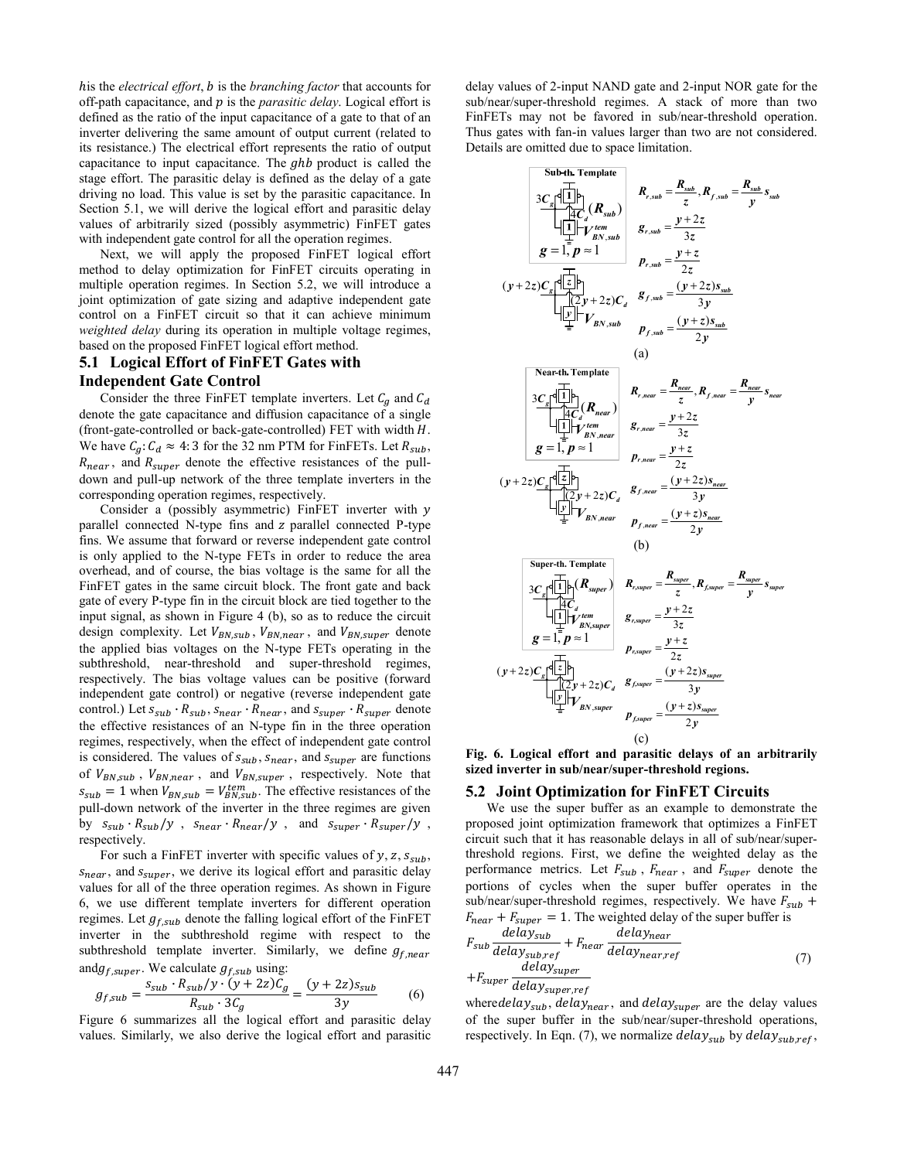his the *electrical effort*, *b* is the *branching factor* that accounts for off-path capacitance, and p is the *parasitic delay*. Logical effort is defined as the ratio of the input capacitance of a gate to that of an inverter delivering the same amount of output current (related to its resistance.) The electrical effort represents the ratio of output capacitance to input capacitance. The  $ghb$  product is called the stage effort. The parasitic delay is defined as the delay of a gate driving no load. This value is set by the parasitic capacitance. In Section 5.1, we will derive the logical effort and parasitic delay values of arbitrarily sized (possibly asymmetric) FinFET gates with independent gate control for all the operation regimes.

Next, we will apply the proposed FinFET logical effort method to delay optimization for FinFET circuits operating in multiple operation regimes. In Section 5.2, we will introduce a joint optimization of gate sizing and adaptive independent gate control on a FinFET circuit so that it can achieve minimum *weighted delay* during its operation in multiple voltage regimes, based on the proposed FinFET logical effort method.

# **5.1 Logical Effort of FinFET Gates with Independent Gate Control**

Consider the three FinFET template inverters. Let  $C_q$  and  $C_d$ denote the gate capacitance and diffusion capacitance of a single (front-gate-controlled or back-gate-controlled) FET with width  $H$ . We have  $C_a$ :  $C_d \approx 4$ : 3 for the 32 nm PTM for FinFETs. Let  $R_{sub}$ ,  $R_{near}$ , and  $R_{super}$  denote the effective resistances of the pulldown and pull-up network of the three template inverters in the corresponding operation regimes, respectively.

Consider a (possibly asymmetric) FinFET inverter with  $y$ parallel connected N-type fins and z parallel connected P-type fins. We assume that forward or reverse independent gate control is only applied to the N-type FETs in order to reduce the area overhead, and of course, the bias voltage is the same for all the FinFET gates in the same circuit block. The front gate and back gate of every P-type fin in the circuit block are tied together to the input signal, as shown in Figure 4 (b), so as to reduce the circuit design complexity. Let  $V_{BN,sub}$ ,  $V_{BN,near}$ , and  $V_{BN,super}$  denote the applied bias voltages on the N-type FETs operating in the subthreshold, near-threshold and super-threshold regimes, respectively. The bias voltage values can be positive (forward independent gate control) or negative (reverse independent gate control.) Let  $s_{sub} \cdot R_{sub}$ ,  $s_{near} \cdot R_{near}$ , and  $s_{super} \cdot R_{super}$  denote the effective resistances of an N-type fin in the three operation regimes, respectively, when the effect of independent gate control is considered. The values of  $s_{sub}$ ,  $s_{near}$ , and  $s_{super}$  are functions of  $V_{BN,sub}$ ,  $V_{BN,near}$ , and  $V_{BN,super}$ , respectively. Note that  $s_{sub} = 1$  when  $V_{BN,sub} = V_{BN,sub}^{tem}$ . The effective resistances of the pull-down network of the inverter in the three regimes are given by  $s_{sub} \cdot R_{sub}/y$ ,  $s_{near} \cdot R_{near}/y$ , and  $s_{super} \cdot R_{super}/y$ , respectively.

For such a FinFET inverter with specific values of  $y$ ,  $z$ ,  $s_{sub}$ ,  $S<sub>near</sub>$ , and  $S<sub>super</sub>$ , we derive its logical effort and parasitic delay values for all of the three operation regimes. As shown in Figure 6, we use different template inverters for different operation regimes. Let  $g_{f,sub}$  denote the falling logical effort of the FinFET inverter in the subthreshold regime with respect to the subthreshold template inverter. Similarly, we define  $g_{f,near}$ and  $g_{f,super}$ . We calculate  $g_{f,sub}$  using:

$$
g_{f,sub} = \frac{s_{sub} \cdot R_{sub}/y \cdot (y + 2z)C_g}{R_{sub} \cdot 3C_g} = \frac{(y + 2z)s_{sub}}{3y}
$$
(6)

Figure 6 summarizes all the logical effort and parasitic delay values. Similarly, we also derive the logical effort and parasitic delay values of 2-input NAND gate and 2-input NOR gate for the sub/near/super-threshold regimes. A stack of more than two FinFETs may not be favored in sub/near-threshold operation. Thus gates with fan-in values larger than two are not considered. Details are omitted due to space limitation.

Sub-th. Temple  
\n
$$
3C_{g}[\begin{array}{c}111\\12\\13\end{array}]
$$
\n $R_{r,sub} = \frac{R_{sub}}{z}, R_{f,sub} = \frac{R_{sub}}{y}$   
\n $g = 1, p \approx 1$   
\n $g = 1, p \approx 1$   
\n $g = 1, p \approx 1$   
\n $g = 1, p \approx 1$   
\n $h = 1, h \approx 1$   
\n $h = 1, h \approx 1$   
\n $h = 1, h \approx 1$   
\n $h = 1, h \approx 1$   
\n $h = 1, h \approx 1$   
\n $h = 1, h \approx 1$   
\n $h = 1, h \approx 1$   
\n $h = 1, h \approx 1$   
\n $h = 1, h \approx 1$   
\n $h = 1, h \approx 1$   
\n $h = 1, h \approx 1$   
\n $h = 1, h \approx 1$   
\n $h = 1, h \approx 1$   
\n $h = 1, h \approx 1$   
\n $h = 1, h \approx 1$   
\n $h = 1, h \approx 1$   
\n $h = 1, h \approx 1$   
\n $h = 1, h \approx 1$   
\n $h = 1, h \approx 1$   
\n $h = 1, h \approx 1$   
\n $h = 1, h \approx 1$   
\n $h = 1, h \approx 1$   
\n $h = 1, h \approx 1$   
\n $h = 1, h \approx 1$   
\n $h = 1, h \approx 1$   
\n $h = 1, h \approx 1$   
\n $h = 1, h \approx 1$   
\n $h = 1, h \approx 1$   
\n $h = 1, h \approx 1$   
\n $3C_{g}[\begin{array}{c}111\\12\\13\\14\end{array}]$   
\n $h = 1, h \approx 1$ 

**Fig. 6. Logical effort and parasitic delays of an arbitrarily sized inverter in sub/near/super-threshold regions.** 

#### **5.2 Joint Optimization for FinFET Circuits**

We use the super buffer as an example to demonstrate the proposed joint optimization framework that optimizes a FinFET circuit such that it has reasonable delays in all of sub/near/superthreshold regions. First, we define the weighted delay as the performance metrics. Let  $F_{sub}$ ,  $F_{near}$ , and  $F_{super}$  denote the portions of cycles when the super buffer operates in the sub/near/super-threshold regimes, respectively. We have  $F_{sub}$  +  $F_{near} + F_{super} = 1$ . The weighted delay of the super buffer is  $F_{sub}$   $\frac{delay_{sub}}{delay_{sub}}$  $\frac{delay_{sub}}{delay_{sub,ref}} + F_{near} \frac{delay_{near,r}}{delay_{near,r}}$ 

$$
+ Fsub delaysub,ref +1 near delaynear,ref
$$
  
+
$$
Fsuper delaysuper,ref
$$
 (7)

where *delay<sub>sub</sub>*, *delay<sub>near</sub>*, and *delay<sub>super</sub>* are the delay values of the super buffer in the sub/near/super-threshold operations, respectively. In Eqn. (7), we normalize  $delay_{sub}$  by  $delay_{sub,ref}$ ,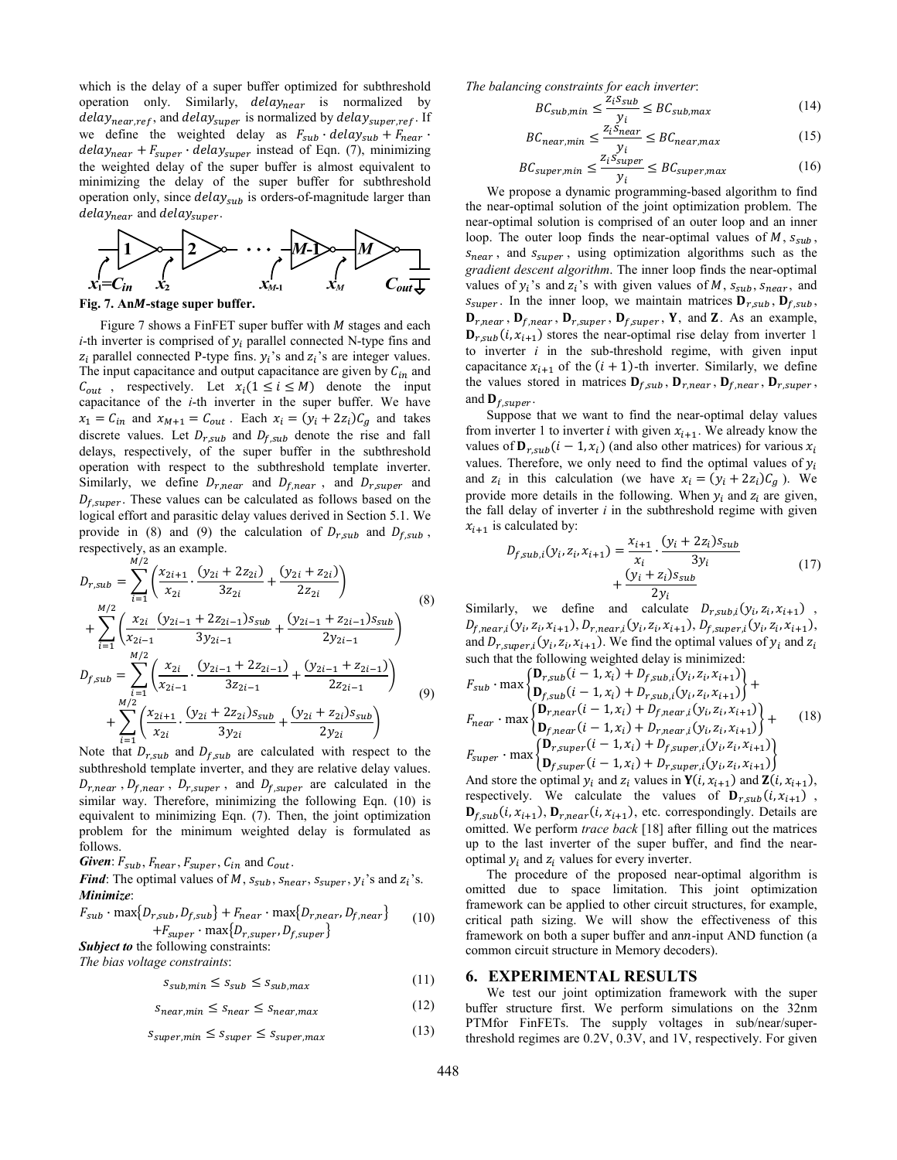which is the delay of a super buffer optimized for subthreshold operation only. Similarly, delaynear is normalized by  $delay_{near,ref}$ , and  $delay_{super}$  is normalized by  $delay_{super,ref}$ . If we define the weighted delay as  $F_{sub} \cdot delay_{sub} + F_{near} \cdot$  $delay_{near} + F_{super} \cdot delay_{super}$  instead of Eqn. (7), minimizing the weighted delay of the super buffer is almost equivalent to minimizing the delay of the super buffer for subthreshold operation only, since  $delay_{sub}$  is orders-of-magnitude larger than  $delay_{near}$  and  $delay_{super}$ .



Fig. 7. AnM-stage super buffer.

Figure 7 shows a FinFET super buffer with  $M$  stages and each *i*-th inverter is comprised of  $y_i$  parallel connected N-type fins and  $z_i$  parallel connected P-type fins.  $y_i$ 's and  $z_i$ 's are integer values. The input capacitance and output capacitance are given by  $C_{in}$  and  $C_{out}$ , respectively. Let  $x_i (1 \le i \le M)$  denote the input capacitance of the *i*-th inverter in the super buffer. We have  $x_1 = C_{in}$  and  $x_{M+1} = C_{out}$ . Each  $x_i = (y_i + 2z_i)C_g$  and takes discrete values. Let  $D_{r,sub}$  and  $D_{f,sub}$  denote the rise and fall delays, respectively, of the super buffer in the subthreshold operation with respect to the subthreshold template inverter. Similarly, we define  $D_{r, near}$  and  $D_{r, near}$ , and  $D_{r, super}$  and  $D_{f,super}$ . These values can be calculated as follows based on the logical effort and parasitic delay values derived in Section 5.1. We provide in (8) and (9) the calculation of  $D_{r,sub}$  and  $D_{f,sub}$ , respectively, as an example.

$$
D_{r,sub} = \sum_{i=1}^{M/2} \left( \frac{x_{2i+1}}{x_{2i}} \cdot \frac{(y_{2i} + 2z_{2i})}{3z_{2i}} + \frac{(y_{2i} + z_{2i})}{2z_{2i}} \right)
$$
  
+ 
$$
\sum_{i=1}^{M/2} \left( \frac{x_{2i}}{x_{2i-1}} \frac{(y_{2i-1} + 2z_{2i-1})s_{sub}}{3y_{2i-1}} + \frac{(y_{2i-1} + z_{2i-1})s_{sub}}{2y_{2i-1}} \right)
$$
  

$$
D_{f,sub} = \sum_{i=1}^{M/2} \left( \frac{x_{2i}}{x_{2i-1}} \cdot \frac{(y_{2i-1} + 2z_{2i-1})}{3z_{2i-1}} + \frac{(y_{2i-1} + z_{2i-1})}{2z_{2i-1}} \right)
$$
  
+ 
$$
\sum_{i=1}^{M/2} \left( \frac{x_{2i+1}}{x_{2i}} \cdot \frac{(y_{2i} + 2z_{2i})s_{sub}}{3y_{2i}} + \frac{(y_{2i} + z_{2i})s_{sub}}{2y_{2i}} \right)
$$
 (9)

Note that  $D_{r,sub}$  and  $D_{r,sub}$  are calculated with respect to the subthreshold template inverter, and they are relative delay values.  $D_{r, near}$ ,  $D_{r, near}$ ,  $D_{r, super}$ , and  $D_{r, super}$  are calculated in the similar way. Therefore, minimizing the following Eqn. (10) is equivalent to minimizing Eqn. (7). Then, the joint optimization problem for the minimum weighted delay is formulated as follows.

Given:  $F_{sub}$ ,  $F_{near}$ ,  $F_{super}$ ,  $C_{in}$  and  $C_{out}$ .

*Find*: The optimal values of *M*,  $s_{sub}$ ,  $s_{max}$ ,  $s_{super}$ ,  $y_i$ 's and  $z_i$ 's. *Minimize*:

$$
F_{sub} \cdot \max\{D_{r,sub}, D_{f,sub}\} + F_{near} \cdot \max\{D_{r,near}, D_{f,near}\}
$$
  
+
$$
F_{super} \cdot \max\{D_{r,super}, D_{f,super}\}
$$
 (10)

*Subject to* the following constraints:

*The bias voltage constraints*:  $\sim$   $\leq$   $\leq$   $\leq$   $\sim$   $\sim$  (11)

$$
s_{sub,min} \ge s_{sub} \ge s_{sub,max}
$$
 (12)

$$
S_{near,min} \leq S_{near} \leq S_{near,max} \tag{12}
$$

$$
s_{super,min} \le s_{super} \le s_{super,max}
$$
 (13)

*The balancing constraints for each inverter:*<br>  $P_{\text{C}}$   $\left\{ \frac{z_i s_{sub}}{z_i} \right\}$   $P_{\text{C}}$ 

$$
BC_{sub,min} \leq \frac{2iSsub}{y_i} \leq BC_{sub,max}
$$
(14)

$$
BC_{near,min} \le \frac{z_1 s_{near}}{y_i} \le BC_{near,max}
$$
 (15)

$$
BC_{super,min} \le \frac{2(10 \text{ super})}{y_i} \le BC_{super,max} \tag{16}
$$

We propose a dynamic programming-based algorithm to find the near-optimal solution of the joint optimization problem. The near-optimal solution is comprised of an outer loop and an inner loop. The outer loop finds the near-optimal values of  $M$ ,  $S<sub>sub</sub>$ ,  $s_{near}$ , and  $s_{super}$ , using optimization algorithms such as the *gradient descent algorithm*. The inner loop finds the near-optimal values of  $y_i$ 's and  $z_i$ 's with given values of  $M$ ,  $s_{sub}$ ,  $s_{near}$ , and  $s_{super}$ . In the inner loop, we maintain matrices  $\mathbf{D}_{r,sub}$ ,  $\mathbf{D}_{f,sub}$ ,  $\mathbf{D}_{r, near}$ ,  $\mathbf{D}_{f, near}$ ,  $\mathbf{D}_{r, super}$ ,  $\mathbf{D}_{f, super}$ ,  $\mathbf{Y}$ , and  $\mathbf{Z}$ . As an example,  $\mathbf{D}_{r,sub}(i, x_{i+1})$  stores the near-optimal rise delay from inverter 1 to inverter *i* in the sub-threshold regime, with given input capacitance  $x_{i+1}$  of the  $(i + 1)$ -th inverter. Similarly, we define the values stored in matrices  $D_{f,sub}$ ,  $D_{r,near}$ ,  $D_{f,near}$ ,  $D_{r,super}$ , and  $\mathbf{D}_{f,super}$ .

Suppose that we want to find the near-optimal delay values from inverter 1 to inverter *i* with given  $x_{i+1}$ . We already know the values of  $\mathbf{D}_{r,sub}(i-1, x_i)$  (and also other matrices) for various  $x_i$ values. Therefore, we only need to find the optimal values of  $y_i$ and  $z_i$  in this calculation (we have  $x_i = (y_i + 2z_i)\mathcal{C}_a$ ). We provide more details in the following. When  $y_i$  and  $z_i$  are given, the fall delay of inverter  $i$  in the subthreshold regime with given  $x_{i+1}$  is calculated by:

$$
D_{f,sub,i}(y_i, z_i, x_{i+1}) = \frac{x_{i+1}}{x_i} \cdot \frac{(y_i + 2z_i)s_{sub}}{3y_i} + \frac{(y_i + z_i)s_{sub}}{2y_i}
$$
(17)

Similarly, we define and calculate  $D_{r,sub,i}(y_i, z_i, x_{i+1})$ ,  $D_{f,near,i}(y_i, z_i, x_{i+1}), D_{r,near,i}(y_i, z_i, x_{i+1}), D_{f,super,i}(y_i, z_i, x_{i+1}),$ and  $D_{r,super,i}(y_i, z_i, x_{i+1})$ . We find the optimal values of  $y_i$  and  $z_i$ such that the following weighted delay is minimized:

$$
F_{sub} \cdot \max \left\{ \begin{matrix} \mathbf{D}_{r,sub}(i-1, x_i) + D_{f,sub,i}(y_i, z_i, x_{i+1}) \\ \mathbf{D}_{f,sub}(i-1, x_i) + D_{r,sub,i}(y_i, z_i, x_{i+1}) \end{matrix} \right\} + F_{near} \cdot \max \left\{ \begin{matrix} \mathbf{D}_{r,near}(i-1, x_i) + D_{f,near,i}(y_i, z_i, x_{i+1}) \\ \mathbf{D}_{f,near}(i-1, x_i) + D_{r,near,i}(y_i, z_i, x_{i+1}) \end{matrix} \right\} + F_{super} \cdot \max \left\{ \begin{matrix} \mathbf{D}_{r,super}(i-1, x_i) + D_{f,super,i}(y_i, z_i, x_{i+1}) \\ \mathbf{D}_{f,super}(i-1, x_i) + D_{f,super,i}(y_i, z_i, x_{i+1}) \end{matrix} \right\}
$$
(18)

And store the optimal  $y_i$  and  $z_i$  values in  $Y(i, x_{i+1})$  and  $Z(i, x_{i+1})$ , respectively. We calculate the values of  $\mathbf{D}_{r,sub}(i, x_{i+1})$ ,  $\mathbf{D}_{f,sub}(i, x_{i+1}), \mathbf{D}_{r,near}(i, x_{i+1}),$  etc. correspondingly. Details are omitted. We perform *trace back* [18] after filling out the matrices up to the last inverter of the super buffer, and find the nearoptimal  $y_i$  and  $z_i$  values for every inverter.

The procedure of the proposed near-optimal algorithm is omitted due to space limitation. This joint optimization framework can be applied to other circuit structures, for example, critical path sizing. We will show the effectiveness of this framework on both a super buffer and ann-input AND function (a common circuit structure in Memory decoders).

#### **6. EXPERIMENTAL RESULTS**

We test our joint optimization framework with the super buffer structure first. We perform simulations on the 32nm PTMfor FinFETs. The supply voltages in sub/near/superthreshold regimes are 0.2V, 0.3V, and 1V, respectively. For given